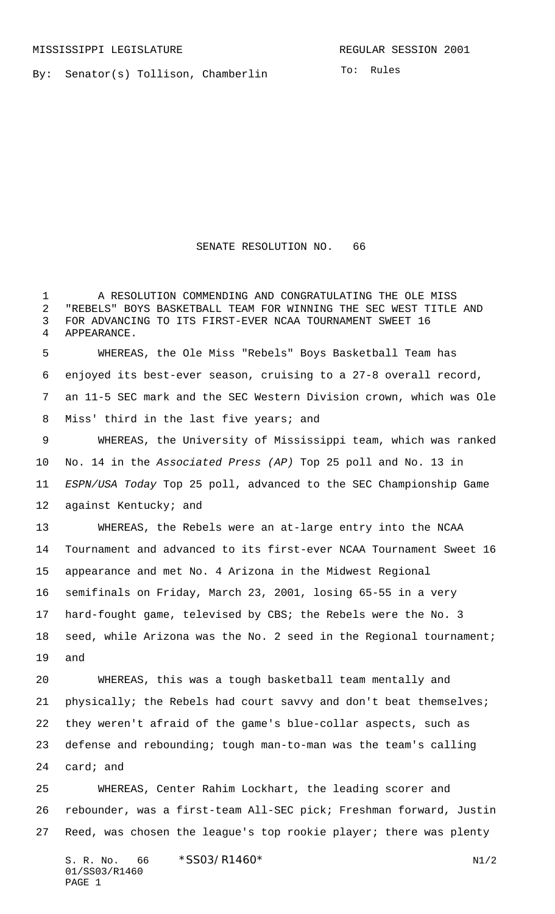MISSISSIPPI LEGISLATURE **REGULAR SESSION 2001** 

By: Senator(s) Tollison, Chamberlin

To: Rules

SENATE RESOLUTION NO. 66

1 A RESOLUTION COMMENDING AND CONGRATULATING THE OLE MISS "REBELS" BOYS BASKETBALL TEAM FOR WINNING THE SEC WEST TITLE AND FOR ADVANCING TO ITS FIRST-EVER NCAA TOURNAMENT SWEET 16 APPEARANCE. WHEREAS, the Ole Miss "Rebels" Boys Basketball Team has enjoyed its best-ever season, cruising to a 27-8 overall record, an 11-5 SEC mark and the SEC Western Division crown, which was Ole Miss' third in the last five years; and WHEREAS, the University of Mississippi team, which was ranked No. 14 in the Associated Press (AP) Top 25 poll and No. 13 in ESPN/USA Today Top 25 poll, advanced to the SEC Championship Game 12 against Kentucky; and WHEREAS, the Rebels were an at-large entry into the NCAA Tournament and advanced to its first-ever NCAA Tournament Sweet 16 appearance and met No. 4 Arizona in the Midwest Regional semifinals on Friday, March 23, 2001, losing 65-55 in a very hard-fought game, televised by CBS; the Rebels were the No. 3 seed, while Arizona was the No. 2 seed in the Regional tournament; and WHEREAS, this was a tough basketball team mentally and 21 physically; the Rebels had court savvy and don't beat themselves; they weren't afraid of the game's blue-collar aspects, such as defense and rebounding; tough man-to-man was the team's calling card; and WHEREAS, Center Rahim Lockhart, the leading scorer and rebounder, was a first-team All-SEC pick; Freshman forward, Justin Reed, was chosen the league's top rookie player; there was plenty

S. R. No. 66 \* SS03/R1460\* N1/2 01/SS03/R1460 PAGE 1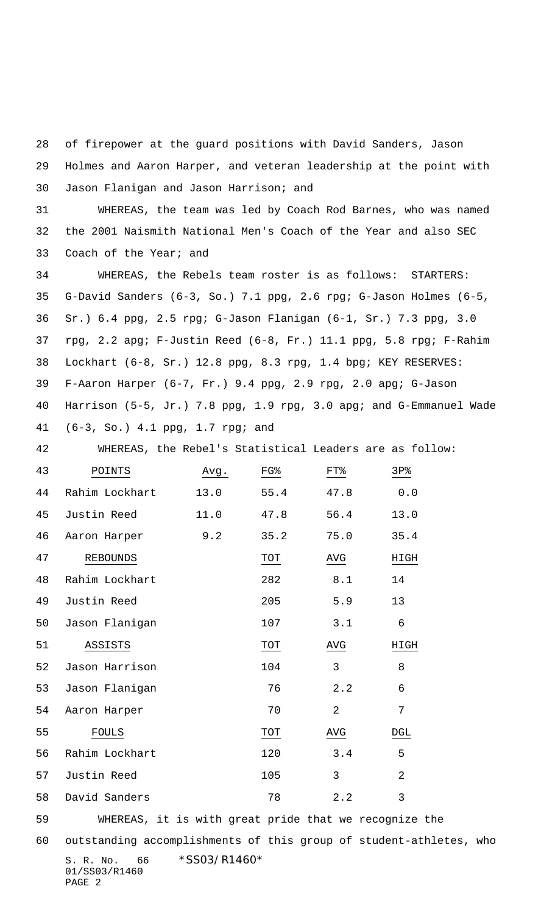of firepower at the guard positions with David Sanders, Jason

 Holmes and Aaron Harper, and veteran leadership at the point with Jason Flanigan and Jason Harrison; and

 WHEREAS, the team was led by Coach Rod Barnes, who was named the 2001 Naismith National Men's Coach of the Year and also SEC Coach of the Year; and

 WHEREAS, the Rebels team roster is as follows: STARTERS: G-David Sanders (6-3, So.) 7.1 ppg, 2.6 rpg; G-Jason Holmes (6-5, Sr.) 6.4 ppg, 2.5 rpg; G-Jason Flanigan (6-1, Sr.) 7.3 ppg, 3.0 rpg, 2.2 apg; F-Justin Reed (6-8, Fr.) 11.1 ppg, 5.8 rpg; F-Rahim Lockhart (6-8, Sr.) 12.8 ppg, 8.3 rpg, 1.4 bpg; KEY RESERVES: F-Aaron Harper (6-7, Fr.) 9.4 ppg, 2.9 rpg, 2.0 apg; G-Jason Harrison (5-5, Jr.) 7.8 ppg, 1.9 rpg, 3.0 apg; and G-Emmanuel Wade (6-3, So.) 4.1 ppg, 1.7 rpg; and

WHEREAS, the Rebel's Statistical Leaders are as follow:

| 43 | POINTS          | Avg. | FG%  | FT <sup>8</sup> | 3P <sub>8</sub> |
|----|-----------------|------|------|-----------------|-----------------|
| 44 | Rahim Lockhart  | 13.0 | 55.4 | 47.8            | 0.0             |
| 45 | Justin Reed     | 11.0 | 47.8 | 56.4            | 13.0            |
| 46 | Aaron Harper    | 9.2  | 35.2 | 75.0            | 35.4            |
| 47 | <b>REBOUNDS</b> |      | TOT  | AVG             | HIGH            |
| 48 | Rahim Lockhart  |      | 282  | 8.1             | 14              |
| 49 | Justin Reed     |      | 205  | 5.9             | 13              |
| 50 | Jason Flanigan  |      | 107  | 3.1             | 6               |
| 51 | ASSISTS         |      | TOT  | AVG             | HIGH            |
| 52 | Jason Harrison  |      | 104  | 3               | 8               |
| 53 | Jason Flanigan  |      | 76   | 2.2             | 6               |
| 54 | Aaron Harper    |      | 70   | $\overline{a}$  | 7               |
| 55 | <b>FOULS</b>    |      | TOT  | AVG             | DGL             |
| 56 | Rahim Lockhart  |      | 120  | 3.4             | 5               |
| 57 | Justin Reed     |      | 105  | 3               | $\overline{2}$  |
| 58 | David Sanders   |      | 78   | 2.2             | 3               |

WHEREAS, it is with great pride that we recognize the

S. R. No. 66 \* SS03/R1460\* 01/SS03/R1460 outstanding accomplishments of this group of student-athletes, who